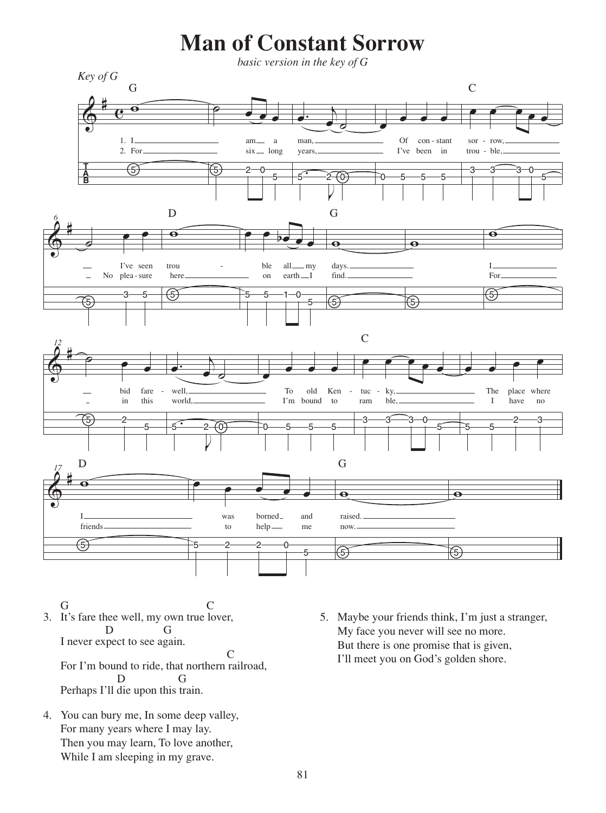## **Man of Constant Sorrow**

*basic version in the key of G*



3. It's fare thee well, my own true lover, I never expect to see again. G C D G C

For I'm bound to ride, that northern railroad, Perhaps I'll die upon this train. D G

4. You can bury me, In some deep valley, For many years where I may lay. Then you may learn, To love another, While I am sleeping in my grave.

5. Maybe your friends think, I'm just a stranger, My face you never will see no more. But there is one promise that is given, I'll meet you on God's golden shore.